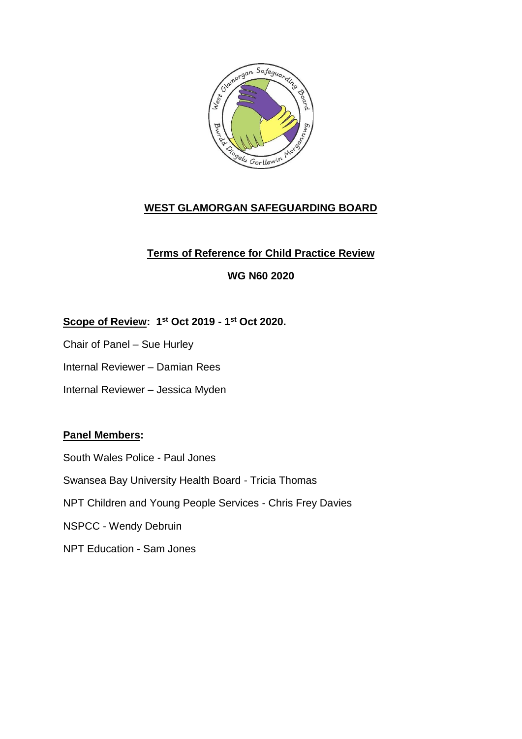

# **WEST GLAMORGAN SAFEGUARDING BOARD**

# **Terms of Reference for Child Practice Review**

# **WG N60 2020**

# **Scope of Review: 1 st Oct 2019 - 1 st Oct 2020.**

- Chair of Panel Sue Hurley
- Internal Reviewer Damian Rees
- Internal Reviewer Jessica Myden

## **Panel Members:**

South Wales Police - Paul Jones Swansea Bay University Health Board - Tricia Thomas NPT Children and Young People Services - Chris Frey Davies NSPCC - Wendy Debruin NPT Education - Sam Jones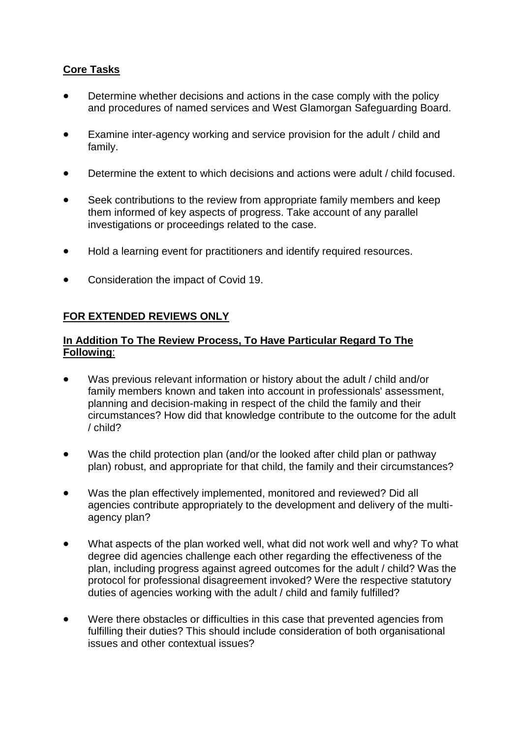# **Core Tasks**

- Determine whether decisions and actions in the case comply with the policy and procedures of named services and West Glamorgan Safeguarding Board.
- Examine inter-agency working and service provision for the adult / child and family.
- Determine the extent to which decisions and actions were adult / child focused.
- Seek contributions to the review from appropriate family members and keep them informed of key aspects of progress. Take account of any parallel investigations or proceedings related to the case.
- Hold a learning event for practitioners and identify required resources.
- Consideration the impact of Covid 19.

## **FOR EXTENDED REVIEWS ONLY**

#### **In Addition To The Review Process, To Have Particular Regard To The Following**:

- Was previous relevant information or history about the adult / child and/or family members known and taken into account in professionals' assessment, planning and decision-making in respect of the child the family and their circumstances? How did that knowledge contribute to the outcome for the adult / child?
- Was the child protection plan (and/or the looked after child plan or pathway plan) robust, and appropriate for that child, the family and their circumstances?
- Was the plan effectively implemented, monitored and reviewed? Did all agencies contribute appropriately to the development and delivery of the multiagency plan?
- What aspects of the plan worked well, what did not work well and why? To what degree did agencies challenge each other regarding the effectiveness of the plan, including progress against agreed outcomes for the adult / child? Was the protocol for professional disagreement invoked? Were the respective statutory duties of agencies working with the adult / child and family fulfilled?
- Were there obstacles or difficulties in this case that prevented agencies from fulfilling their duties? This should include consideration of both organisational issues and other contextual issues?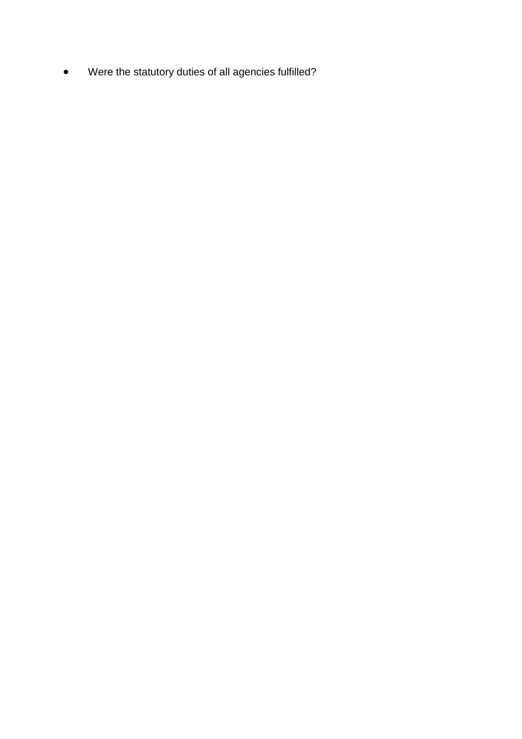Were the statutory duties of all agencies fulfilled?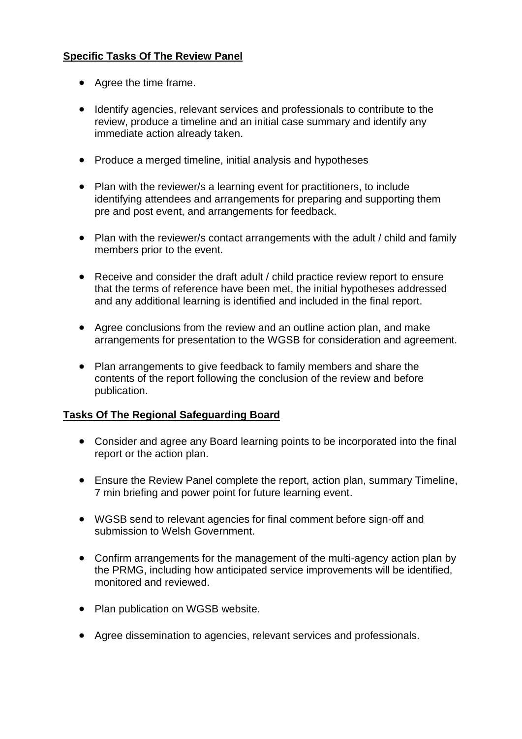## **Specific Tasks Of The Review Panel**

- Agree the time frame.
- Identify agencies, relevant services and professionals to contribute to the review, produce a timeline and an initial case summary and identify any immediate action already taken.
- Produce a merged timeline, initial analysis and hypotheses
- Plan with the reviewer/s a learning event for practitioners, to include identifying attendees and arrangements for preparing and supporting them pre and post event, and arrangements for feedback.
- Plan with the reviewer/s contact arrangements with the adult / child and family members prior to the event.
- Receive and consider the draft adult / child practice review report to ensure that the terms of reference have been met, the initial hypotheses addressed and any additional learning is identified and included in the final report.
- Agree conclusions from the review and an outline action plan, and make arrangements for presentation to the WGSB for consideration and agreement.
- Plan arrangements to give feedback to family members and share the contents of the report following the conclusion of the review and before publication.

## **Tasks Of The Regional Safeguarding Board**

- Consider and agree any Board learning points to be incorporated into the final report or the action plan.
- Ensure the Review Panel complete the report, action plan, summary Timeline, 7 min briefing and power point for future learning event.
- WGSB send to relevant agencies for final comment before sign-off and submission to Welsh Government.
- Confirm arrangements for the management of the multi-agency action plan by the PRMG, including how anticipated service improvements will be identified, monitored and reviewed.
- Plan publication on WGSB website.
- Agree dissemination to agencies, relevant services and professionals.